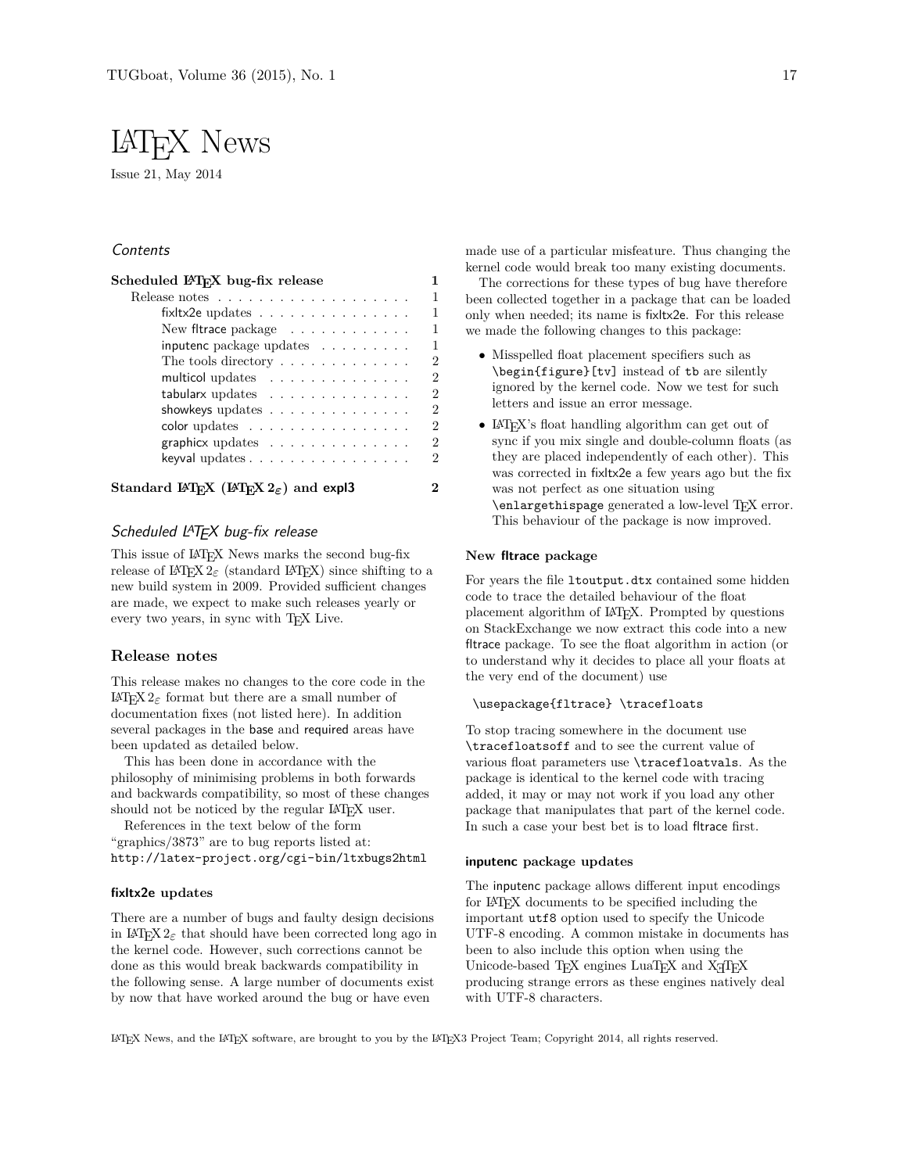# LATEX News

Issue 21, May 2014

# **Contents**

| Release notes $\ldots \ldots \ldots \ldots \ldots$ |  |  |  |  |  |  |  |
|----------------------------------------------------|--|--|--|--|--|--|--|
| fix tx2e updates $\ldots \ldots \ldots \ldots$     |  |  |  |  |  |  |  |
| New fitrace package                                |  |  |  |  |  |  |  |
| inputenc package updates                           |  |  |  |  |  |  |  |
| The tools directory $\dots \dots \dots \dots$      |  |  |  |  |  |  |  |
| multicol updates                                   |  |  |  |  |  |  |  |
| tabularx updates                                   |  |  |  |  |  |  |  |
| showkeys updates $\dots \dots \dots \dots$         |  |  |  |  |  |  |  |
| $color$ updates $\ldots \ldots \ldots \ldots$      |  |  |  |  |  |  |  |
| graphicx updates                                   |  |  |  |  |  |  |  |
| keyval updates $\dots \dots \dots \dots \dots$     |  |  |  |  |  |  |  |

# Scheduled LATFX bug-fix release

This issue of LATEX News marks the second bug-fix release of LAT<sub>E</sub>X  $2_{\epsilon}$  (standard LAT<sub>E</sub>X) since shifting to a new build system in 2009. Provided sufficient changes are made, we expect to make such releases yearly or every two years, in sync with T<sub>E</sub>X Live.

## **Release notes**

This release makes no changes to the core code in the LATEX 2*ε* format but there are a small number of documentation fixes (not listed here). In addition several packages in the base and required areas have been updated as detailed below.

This has been done in accordance with the philosophy of minimising problems in both forwards and backwards compatibility, so most of these changes should not be noticed by the regular LATEX user.

References in the text below of the form "graphics/3873" are to bug reports listed at: http://latex-project.org/cgi-bin/ltxbugs2html

## **fixltx2e updates**

There are a number of bugs and faulty design decisions in LAT<sub>E</sub>X  $2\varepsilon$  that should have been corrected long ago in the kernel code. However, such corrections cannot be done as this would break backwards compatibility in the following sense. A large number of documents exist by now that have worked around the bug or have even

made use of a particular misfeature. Thus changing the kernel code would break too many existing documents.

The corrections for these types of bug have therefore been collected together in a package that can be loaded only when needed; its name is fixltx2e. For this release we made the following changes to this package:

- Misspelled float placement specifiers such as \begin{figure}[tv] instead of tb are silently ignored by the kernel code. Now we test for such letters and issue an error message.
- LAT<sub>EX</sub>'s float handling algorithm can get out of sync if you mix single and double-column floats (as they are placed independently of each other). This was corrected in fixltx2e a few years ago but the fix was not perfect as one situation using \enlargethispage generated a low-level TFX error. This behaviour of the package is now improved.

## **New fltrace package**

For years the file ltoutput.dtx contained some hidden code to trace the detailed behaviour of the float placement algorithm of LATEX. Prompted by questions on StackExchange we now extract this code into a new fltrace package. To see the float algorithm in action (or to understand why it decides to place all your floats at the very end of the document) use

## \usepackage{fltrace} \tracefloats

To stop tracing somewhere in the document use \tracefloatsoff and to see the current value of various float parameters use \tracefloatvals. As the package is identical to the kernel code with tracing added, it may or may not work if you load any other package that manipulates that part of the kernel code. In such a case your best bet is to load fltrace first.

#### **inputenc package updates**

The inputenc package allows different input encodings for LATEX documents to be specified including the important utf8 option used to specify the Unicode UTF-8 encoding. A common mistake in documents has been to also include this option when using the Unicode-based  $T_FX$  engines  $LuaT_FX$  and  $X\oplus T_FX$ producing strange errors as these engines natively deal with UTF-8 characters.

LATEX News, and the LATEX software, are brought to you by the LATEX3 Project Team; Copyright 2014, all rights reserved.